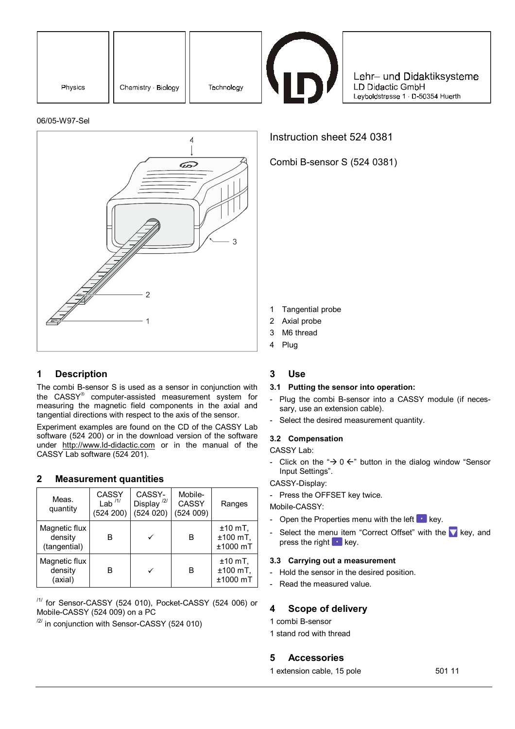| Physics | Chemistry · Biology | Technology |
|---------|---------------------|------------|



Lehr- und Didaktiksysteme LD Didactic GmbH Leyboldstrasse 1 · D-50354 Huerth

#### 06/05-W97-Sel



## **1 Description**

The combi B-sensor S is used as a sensor in conjunction with the CASSY® computer-assisted measurement system for measuring the magnetic field components in the axial and tangential directions with respect to the axis of the sensor.

Experiment examples are found on the CD of the CASSY Lab software (524 200) or in the download version of the software under http://www.ld-didactic.com or in the manual of the CASSY Lab software (524 201).

### **2 Measurement quantities**

| Meas.<br>quantity                        | CASSY<br>Lab $11$<br>(524 200) | CASSY-<br>Display <sup>/2/</sup><br>(524020) | Mobile-<br><b>CASSY</b><br>(524009) | Ranges                                |
|------------------------------------------|--------------------------------|----------------------------------------------|-------------------------------------|---------------------------------------|
| Magnetic flux<br>density<br>(tangential) | в                              |                                              | в                                   | $±10$ mT,<br>$±100$ mT,<br>$±1000$ mT |
| Magnetic flux<br>density<br>(axial)      | B                              | ✓                                            | в                                   | $±10$ mT,<br>$±100$ mT,<br>$±1000$ mT |

/1/ for Sensor-CASSY (524 010), Pocket-CASSY (524 006) or Mobile-CASSY (524 009) on a PC

 $\frac{12}{1}$  in conjunction with Sensor-CASSY (524 010)

Instruction sheet 524 0381

Combi B-sensor S (524 0381)

- 1 Tangential probe
- 2 Axial probe
- 3 M6 thread
- 4 Plug

## **3 Use**

### **3.1 Putting the sensor into operation:**

- Plug the combi B-sensor into a CASSY module (if necessary, use an extension cable).
- Select the desired measurement quantity.

### **3.2 Compensation**

CASSY Lab:

- Click on the " $\rightarrow$  0  $\leftarrow$ " button in the dialog window "Sensor Input Settings".

CASSY-Display:

- Press the OFFSET key twice.

Mobile-CASSY:

- Open the Properties menu with the left  $\bullet$  key.
- Select the menu item "Correct Offset" with the  $\blacktriangledown$  key, and press the right  $\blacksquare$  key.

### **3.3 Carrying out a measurement**

- Hold the sensor in the desired position.
- Read the measured value.

# **4 Scope of delivery**

- 1 combi B-sensor
- 1 stand rod with thread

## **5 Accessories**

1 extension cable, 15 pole 501 11